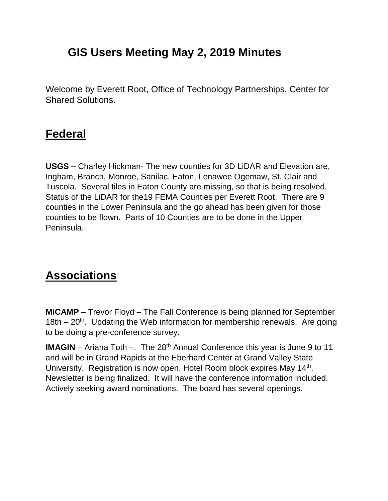## **GIS Users Meeting May 2, 2019 Minutes**

Welcome by Everett Root, Office of Technology Partnerships, Center for Shared Solutions.

### **Federal**

**USGS –** Charley Hickman- The new counties for 3D LiDAR and Elevation are, Ingham, Branch, Monroe, Sanilac, Eaton, Lenawee Ogemaw, St. Clair and Tuscola. Several tiles in Eaton County are missing, so that is being resolved. Status of the LiDAR for the19 FEMA Counties per Everett Root. There are 9 counties in the Lower Peninsula and the go ahead has been given for those counties to be flown. Parts of 10 Counties are to be done in the Upper Peninsula.

## **Associations**

**MiCAMP** – Trevor Floyd – The Fall Conference is being planned for September 18th – 20<sup>th</sup>. Updating the Web information for membership renewals. Are going to be doing a pre-conference survey.

**IMAGIN** – Ariana Toth –. The 28<sup>th</sup> Annual Conference this year is June 9 to 11 and will be in Grand Rapids at the Eberhard Center at Grand Valley State University. Registration is now open. Hotel Room block expires May 14<sup>th</sup>. Newsletter is being finalized. It will have the conference information included. Actively seeking award nominations. The board has several openings.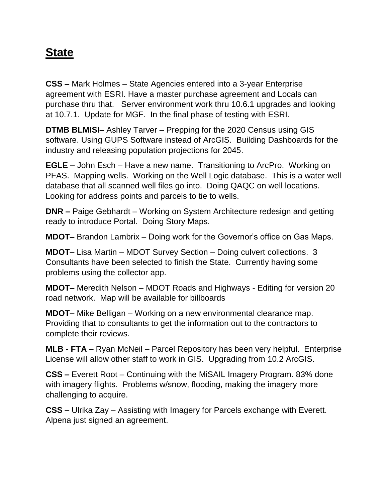## **State**

**CSS –** Mark Holmes – State Agencies entered into a 3-year Enterprise agreement with ESRI. Have a master purchase agreement and Locals can purchase thru that. Server environment work thru 10.6.1 upgrades and looking at 10.7.1. Update for MGF. In the final phase of testing with ESRI.

**DTMB BLMISI–** Ashley Tarver – Prepping for the 2020 Census using GIS software. Using GUPS Software instead of ArcGIS. Building Dashboards for the industry and releasing population projections for 2045.

**EGLE –** John Esch – Have a new name. Transitioning to ArcPro. Working on PFAS. Mapping wells. Working on the Well Logic database. This is a water well database that all scanned well files go into. Doing QAQC on well locations. Looking for address points and parcels to tie to wells.

**DNR –** Paige Gebhardt – Working on System Architecture redesign and getting ready to introduce Portal. Doing Story Maps.

**MDOT–** Brandon Lambrix – Doing work for the Governor's office on Gas Maps.

**MDOT–** Lisa Martin – MDOT Survey Section – Doing culvert collections. 3 Consultants have been selected to finish the State. Currently having some problems using the collector app.

**MDOT–** Meredith Nelson – MDOT Roads and Highways - Editing for version 20 road network. Map will be available for billboards

**MDOT–** Mike Belligan – Working on a new environmental clearance map. Providing that to consultants to get the information out to the contractors to complete their reviews.

**MLB - FTA –** Ryan McNeil – Parcel Repository has been very helpful. Enterprise License will allow other staff to work in GIS. Upgrading from 10.2 ArcGIS.

**CSS –** Everett Root – Continuing with the MiSAIL Imagery Program. 83% done with imagery flights. Problems w/snow, flooding, making the imagery more challenging to acquire.

**CSS –** Ulrika Zay – Assisting with Imagery for Parcels exchange with Everett. Alpena just signed an agreement.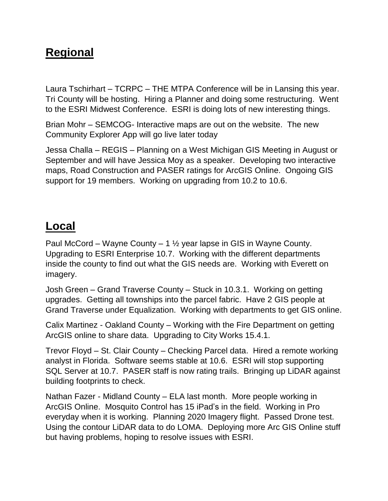## **Regional**

Laura Tschirhart – TCRPC – THE MTPA Conference will be in Lansing this year. Tri County will be hosting. Hiring a Planner and doing some restructuring. Went to the ESRI Midwest Conference. ESRI is doing lots of new interesting things.

Brian Mohr – SEMCOG- Interactive maps are out on the website. The new Community Explorer App will go live later today

Jessa Challa – REGIS – Planning on a West Michigan GIS Meeting in August or September and will have Jessica Moy as a speaker. Developing two interactive maps, Road Construction and PASER ratings for ArcGIS Online. Ongoing GIS support for 19 members. Working on upgrading from 10.2 to 10.6.

## **Local**

Paul McCord – Wayne County – 1 ½ year lapse in GIS in Wayne County. Upgrading to ESRI Enterprise 10.7. Working with the different departments inside the county to find out what the GIS needs are. Working with Everett on imagery.

Josh Green – Grand Traverse County – Stuck in 10.3.1. Working on getting upgrades. Getting all townships into the parcel fabric. Have 2 GIS people at Grand Traverse under Equalization. Working with departments to get GIS online.

Calix Martinez - Oakland County – Working with the Fire Department on getting ArcGIS online to share data. Upgrading to City Works 15.4.1.

Trevor Floyd – St. Clair County – Checking Parcel data. Hired a remote working analyst in Florida. Software seems stable at 10.6. ESRI will stop supporting SQL Server at 10.7. PASER staff is now rating trails. Bringing up LiDAR against building footprints to check.

Nathan Fazer - Midland County – ELA last month. More people working in ArcGIS Online. Mosquito Control has 15 iPad's in the field. Working in Pro everyday when it is working. Planning 2020 Imagery flight. Passed Drone test. Using the contour LiDAR data to do LOMA. Deploying more Arc GIS Online stuff but having problems, hoping to resolve issues with ESRI.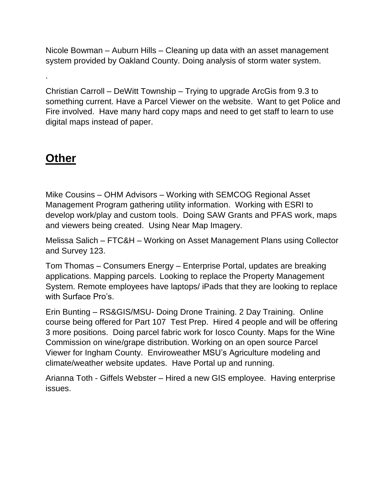Nicole Bowman – Auburn Hills – Cleaning up data with an asset management system provided by Oakland County. Doing analysis of storm water system.

Christian Carroll – DeWitt Township – Trying to upgrade ArcGis from 9.3 to something current. Have a Parcel Viewer on the website. Want to get Police and Fire involved. Have many hard copy maps and need to get staff to learn to use digital maps instead of paper.

## **Other**

.

Mike Cousins – OHM Advisors – Working with SEMCOG Regional Asset Management Program gathering utility information. Working with ESRI to develop work/play and custom tools. Doing SAW Grants and PFAS work, maps and viewers being created. Using Near Map Imagery.

Melissa Salich – FTC&H – Working on Asset Management Plans using Collector and Survey 123.

Tom Thomas – Consumers Energy – Enterprise Portal, updates are breaking applications. Mapping parcels. Looking to replace the Property Management System. Remote employees have laptops/ iPads that they are looking to replace with Surface Pro's.

Erin Bunting – RS&GIS/MSU- Doing Drone Training. 2 Day Training. Online course being offered for Part 107 Test Prep. Hired 4 people and will be offering 3 more positions. Doing parcel fabric work for Iosco County. Maps for the Wine Commission on wine/grape distribution. Working on an open source Parcel Viewer for Ingham County. Enviroweather MSU's Agriculture modeling and climate/weather website updates. Have Portal up and running.

Arianna Toth - Giffels Webster – Hired a new GIS employee. Having enterprise issues.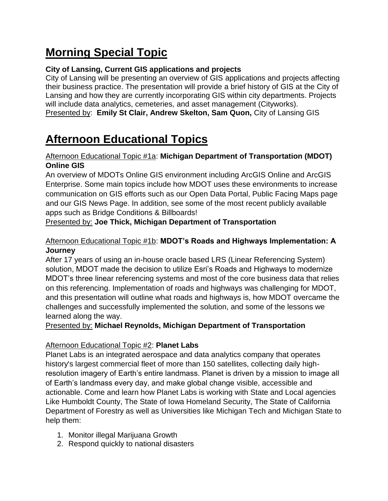# **Morning Special Topic**

### **City of Lansing, Current GIS applications and projects**

City of Lansing will be presenting an overview of GIS applications and projects affecting their business practice. The presentation will provide a brief history of GIS at the City of Lansing and how they are currently incorporating GIS within city departments. Projects will include data analytics, cemeteries, and asset management (Cityworks).

Presented by: **Emily St Clair, Andrew Skelton, Sam Quon,** City of Lansing GIS

## **Afternoon Educational Topics**

### Afternoon Educational Topic #1a: **Michigan Department of Transportation (MDOT) Online GIS**

An overview of MDOTs Online GIS environment including ArcGIS Online and ArcGIS Enterprise. Some main topics include how MDOT uses these environments to increase communication on GIS efforts such as our Open Data Portal, Public Facing Maps page and our GIS News Page. In addition, see some of the most recent publicly available apps such as Bridge Conditions & Billboards!

Presented by: **Joe Thick, Michigan Department of Transportation**

### Afternoon Educational Topic #1b: **MDOT's Roads and Highways Implementation: A Journey**

After 17 years of using an in-house oracle based LRS (Linear Referencing System) solution, MDOT made the decision to utilize Esri's Roads and Highways to modernize MDOT's three linear referencing systems and most of the core business data that relies on this referencing. Implementation of roads and highways was challenging for MDOT, and this presentation will outline what roads and highways is, how MDOT overcame the challenges and successfully implemented the solution, and some of the lessons we learned along the way.

Presented by: **Michael Reynolds, Michigan Department of Transportation**

### Afternoon Educational Topic #2: **Planet Labs**

Planet Labs is an integrated aerospace and data analytics company that operates history's largest commercial fleet of more than 150 satellites, collecting daily highresolution imagery of Earth's entire landmass. Planet is driven by a mission to image all of Earth's landmass every day, and make global change visible, accessible and actionable. Come and learn how Planet Labs is working with State and Local agencies Like Humboldt County, The State of Iowa Homeland Security, The State of California Department of Forestry as well as Universities like Michigan Tech and Michigan State to help them:

- 1. Monitor illegal Marijuana Growth
- 2. Respond quickly to national disasters